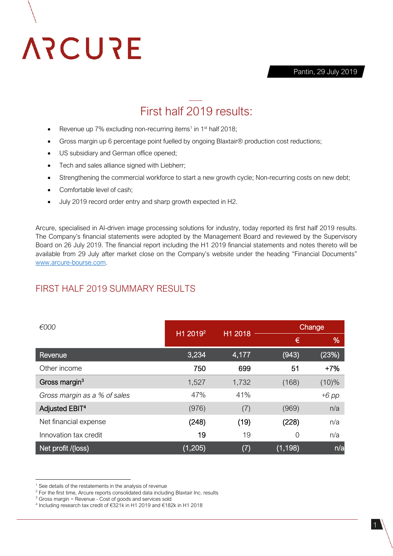

Pantin, 29 July 2019

## First half 2019 results:

- Revenue up  $7\%$  excluding non-recurring items<sup>1</sup> in  $1<sup>st</sup>$  half 2018;
- Gross margin up 6 percentage point fuelled by ongoing Blaxtair® production cost reductions;
- US subsidiary and German office opened;
- Tech and sales alliance signed with Liebherr;
- Strengthening the commercial workforce to start a new growth cycle; Non-recurring costs on new debt;
- Comfortable level of cash;
- July 2019 record order entry and sharp growth expected in H2.

Arcure, specialised in AI-driven image processing solutions for industry, today reported its first half 2019 results. The Company's financial statements were adopted by the Management Board and reviewed by the Supervisory Board on 26 July 2019. The financial report including the H1 2019 financial statements and notes thereto will be available from 29 July after market close on the Company's website under the heading "Financial Documents" [www.arcure-bourse.com.](http://www.arcure-bourse.com/)

#### FIRST HALF 2019 SUMMARY RESULTS

| €000                         | H1 2019 <sup>2</sup> | H1 2018 | Change   |          |
|------------------------------|----------------------|---------|----------|----------|
|                              |                      |         | €        | %        |
| Revenue                      | 3,234                | 4,177   | (943)    | (23%)    |
| Other income                 | 750                  | 699     | 51       | $+7%$    |
| Gross margin <sup>3</sup>    | 1,527                | 1,732   | (168)    | $(10)\%$ |
| Gross margin as a % of sales | 47%                  | 41%     |          | $+6$ pp  |
| Adjusted EBIT <sup>4</sup>   | (976)                | (7)     | (969)    | n/a      |
| Net financial expense        | (248)                | (19)    | (228)    | n/a      |
| Innovation tax credit        | 19                   | 19      | 0        | n/a      |
| Net profit /(loss)           | (1, 205)             | (7)     | (1, 198) | n/a      |

**.** 

 $1$  See details of the restatements in the analysis of revenue

<sup>&</sup>lt;sup>2</sup> For the first time, Arcure reports consolidated data including Blaxtair Inc. results

<sup>3</sup> Gross margin = Revenue - Cost of goods and services sold

<sup>4</sup> Including research tax credit of €321k in H1 2019 and €182k in H1 2018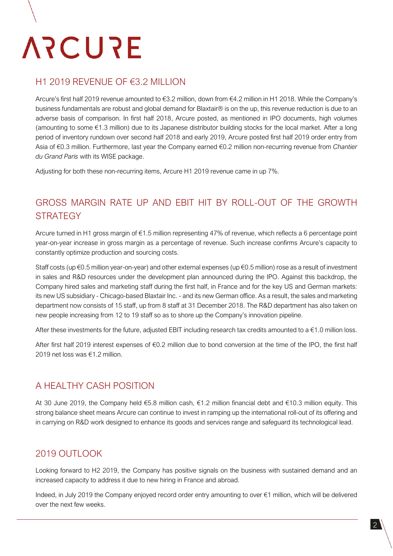# **ARCURE**

#### H1 2019 REVENUE OF €3.2 MILLION

Arcure's first half 2019 revenue amounted to €3.2 million, down from €4.2 million in H1 2018. While the Company's business fundamentals are robust and global demand for Blaxtair® is on the up, this revenue reduction is due to an adverse basis of comparison. In first half 2018, Arcure posted, as mentioned in IPO documents, high volumes (amounting to some €1.3 million) due to its Japanese distributor building stocks for the local market. After a long period of inventory rundown over second half 2018 and early 2019, Arcure posted first half 2019 order entry from Asia of €0.3 million. Furthermore, last year the Company earned €0.2 million non-recurring revenue from *Chantier du Grand Paris* with its WISE package.

Adjusting for both these non-recurring items, Arcure H1 2019 revenue came in up 7%.

## GROSS MARGIN RATE UP AND EBIT HIT BY ROLL-OUT OF THE GROWTH **STRATEGY**

Arcure turned in H1 gross margin of €1.5 million representing 47% of revenue, which reflects a 6 percentage point year-on-year increase in gross margin as a percentage of revenue. Such increase confirms Arcure's capacity to constantly optimize production and sourcing costs.

Staff costs (up €0.5 million year-on-year) and other external expenses (up €0.5 million) rose as a result of investment in sales and R&D resources under the development plan announced during the IPO. Against this backdrop, the Company hired sales and marketing staff during the first half, in France and for the key US and German markets: its new US subsidiary - Chicago-based Blaxtair Inc. - and its new German office. As a result, the sales and marketing department now consists of 15 staff, up from 8 staff at 31 December 2018. The R&D department has also taken on new people increasing from 12 to 19 staff so as to shore up the Company's innovation pipeline.

After these investments for the future, adjusted EBIT including research tax credits amounted to a €1.0 million loss.

After first half 2019 interest expenses of €0.2 million due to bond conversion at the time of the IPO, the first half 2019 net loss was €1.2 million.

## A HEALTHY CASH POSITION

At 30 June 2019, the Company held €5.8 million cash, €1.2 million financial debt and €10.3 million equity. This strong balance sheet means Arcure can continue to invest in ramping up the international roll-out of its offering and in carrying on R&D work designed to enhance its goods and services range and safeguard its technological lead.

## 2019 OUTLOOK

Looking forward to H2 2019, the Company has positive signals on the business with sustained demand and an increased capacity to address it due to new hiring in France and abroad.

Indeed, in July 2019 the Company enjoyed record order entry amounting to over €1 million, which will be delivered over the next few weeks.